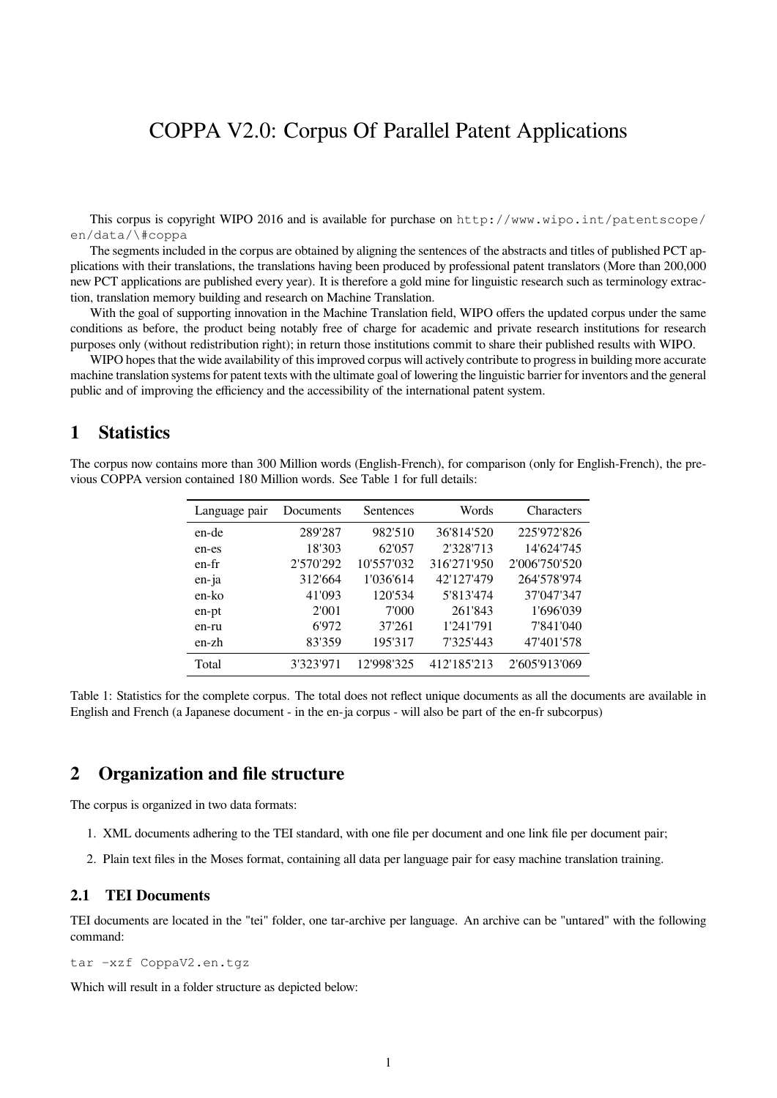# COPPA V2.0: Corpus Of Parallel Patent Applications

This corpus is copyright WIPO 2016 and is available for purchase on http://www.wipo.int/patentscope/ en/data/\#coppa

The segments included in the corpus are obtained by aligning the sentences of the abstracts and titles of published PCT applications with their translations, the translations having been produced by professional patent translators (More than 200,000 new PCT applications are published every year). It is therefore a gold mine for linguistic research such as terminology extraction, translation memory building and research on Machine Translation.

With the goal of supporting innovation in the Machine Translation field, WIPO offers the updated corpus under the same conditions as before, the product being notably free of charge for academic and private research institutions for research purposes only (without redistribution right); in return those institutions commit to share their published results with WIPO.

WIPO hopes that the wide availability of this improved corpus will actively contribute to progress in building more accurate machine translation systems for patent texts with the ultimate goal of lowering the linguistic barrier for inventors and the general public and of improving the efficiency and the accessibility of the international patent system.

## **1 Statistics**

The corpus now contains more than 300 Million words (English-French), for comparison (only for English-French), the previous COPPA version contained 180 Million words. See Table 1 for full details:

| Language pair | Documents | Sentences  | Words       | <b>Characters</b> |
|---------------|-----------|------------|-------------|-------------------|
| en-de         | 289'287   | 982'510    | 36'814'520  | 225'972'826       |
| en-es         | 18'303    | 62'057     | 2'328'713   | 14'624'745        |
| en-fr         | 2'570'292 | 10'557'032 | 316'271'950 | 2'006'750'520     |
| en-ja         | 312'664   | 1'036'614  | 42'127'479  | 264'578'974       |
| en-ko         | 41'093    | 120'534    | 5'813'474   | 37'047'347        |
| en-pt         | 2'001     | 7'000      | 261'843     | 1'696'039         |
| en-ru         | 6'972     | 37'261     | 1'241'791   | 7'841'040         |
| en-zh         | 83'359    | 195'317    | 7'325'443   | 47'401'578        |
| Total         | 3'323'971 | 12'998'325 | 412'185'213 | 2'605'913'069     |

Table 1: Statistics for the complete corpus. The total does not reflect unique documents as all the documents are available in English and French (a Japanese document - in the en-ja corpus - will also be part of the en-fr subcorpus)

## **2 Organization and file structure**

The corpus is organized in two data formats:

- 1. XML documents adhering to the TEI standard, with one file per document and one link file per document pair;
- 2. Plain text files in the Moses format, containing all data per language pair for easy machine translation training.

#### **2.1 TEI Documents**

TEI documents are located in the "tei" folder, one tar-archive per language. An archive can be "untared" with the following command:

tar -xzf CoppaV2.en.tgz

Which will result in a folder structure as depicted below: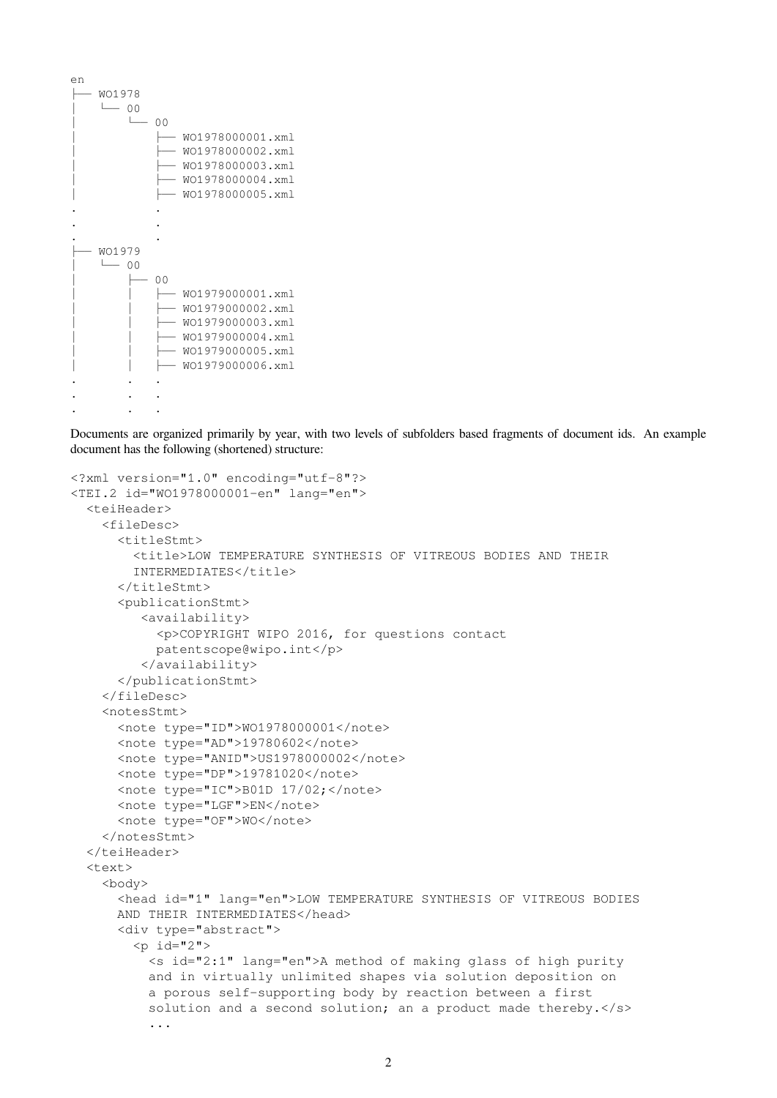| en |        |    |  |                  |  |
|----|--------|----|--|------------------|--|
|    | WO1978 |    |  |                  |  |
|    | 00     |    |  |                  |  |
|    |        |    |  |                  |  |
|    |        | ΩO |  |                  |  |
|    |        |    |  | W01978000001.xml |  |
|    |        |    |  | W01978000002.xml |  |
|    |        |    |  | W01978000003.xml |  |
|    |        |    |  |                  |  |
|    |        |    |  | W01978000004.xml |  |
|    |        |    |  | W01978000005.xml |  |
|    |        |    |  |                  |  |
|    |        |    |  |                  |  |
|    |        |    |  |                  |  |
|    | WO1979 |    |  |                  |  |
|    |        |    |  |                  |  |
|    | 00     |    |  |                  |  |
|    |        | ΩO |  |                  |  |
|    |        |    |  | W01979000001.xml |  |
|    |        |    |  | W01979000002.xml |  |
|    |        |    |  | W01979000003.xml |  |
|    |        |    |  |                  |  |
|    |        |    |  | W01979000004.xml |  |
|    |        |    |  | W01979000005.xml |  |
|    |        |    |  | W01979000006.xml |  |
|    |        |    |  |                  |  |
|    |        |    |  |                  |  |
|    |        |    |  |                  |  |
|    |        |    |  |                  |  |

Documents are organized primarily by year, with two levels of subfolders based fragments of document ids. An example document has the following (shortened) structure:

```
<?xml version="1.0" encoding="utf-8"?>
<TEI.2 id="WO1978000001-en" lang="en">
  <teiHeader>
    <fileDesc>
      <titleStmt>
        <title>LOW TEMPERATURE SYNTHESIS OF VITREOUS BODIES AND THEIR
        INTERMEDIATES</title>
      </titleStmt>
      <publicationStmt>
         <availability>
           <p>COPYRIGHT WIPO 2016, for questions contact
           patentscope@wipo.int</p>
         </availability>
      </publicationStmt>
    </fileDesc>
    <notesStmt>
      <note type="ID">WO1978000001</note>
      <note type="AD">19780602</note>
      <note type="ANID">US1978000002</note>
      <note type="DP">19781020</note>
      <note type="IC">B01D 17/02;</note>
      <note type="LGF">EN</note>
      <note type="OF">WO</note>
    </notesStmt>
  </teiHeader>
  <text>
    <body>
      <head id="1" lang="en">LOW TEMPERATURE SYNTHESIS OF VITREOUS BODIES
      AND THEIR INTERMEDIATES</head>
      <div type="abstract">
        <p>i d="2"<s id="2:1" lang="en">A method of making glass of high purity
          and in virtually unlimited shapes via solution deposition on
          a porous self-supporting body by reaction between a first
          solution and a second solution; an a product made thereby.</s>
          ...
```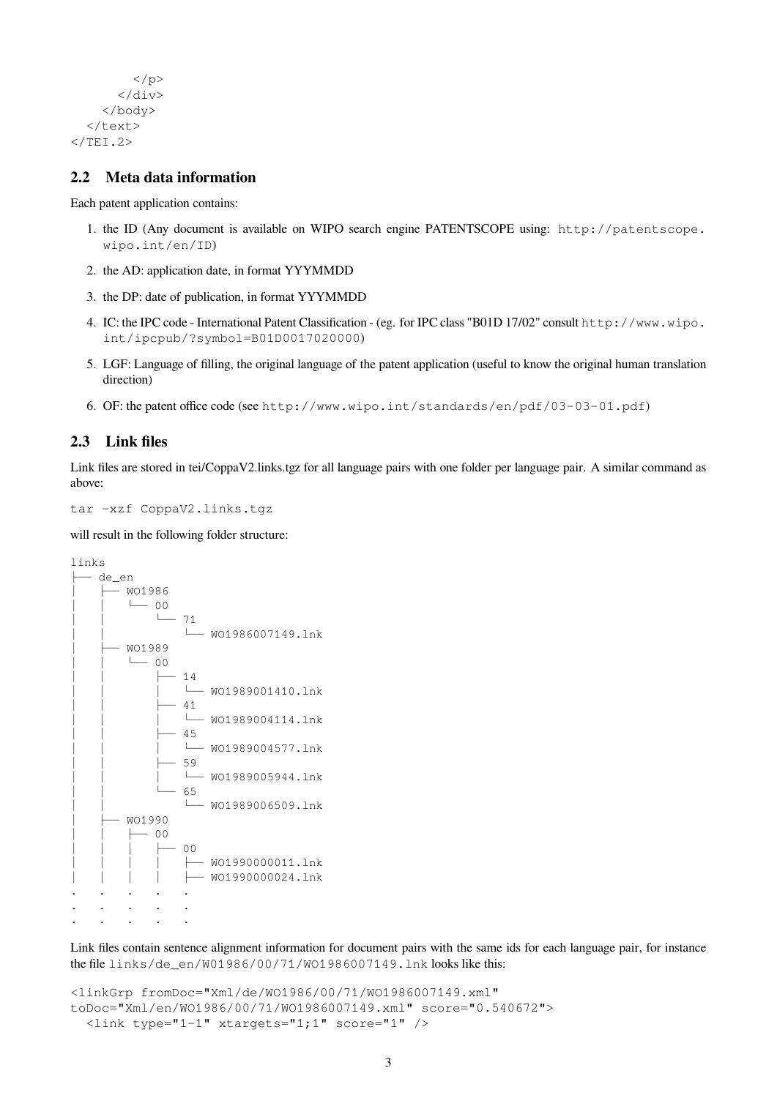```
\langle/p>
            \langle/div\rangle</body>
   \langle/text>
\langle/TEI.2>
```
## **2.2 Meta data information**

Each patent application contains:

- 1. the ID (Any document is available on WIPO search engine PATENTSCOPE using: http://patentscope. wipo.int/en/ID)
- 2. the AD: application date, in format YYYMMDD
- 3. the DP: date of publication, in format YYYMMDD
- 4. IC: the IPC code International Patent Classification (eg. for IPC class "B01D 17/02" consult http://www.wipo. int/ipcpub/?symbol=B01D0017020000)
- 5. LGF: Language of filling, the original language of the patent application (useful to know the original human translation direction)
- 6. OF: the patent office code (see http://www.wipo.int/standards/en/pdf/03-03-01.pdf)

## **2.3 Link files**

Link files are stored in tei/CoppaV2.links.tgz for all language pairs with one folder per language pair. A similar command as above:

tar -xzf CoppaV2.links.tgz

will result in the following folder structure:



Link files contain sentence alignment information for document pairs with the same ids for each language pair, for instance the file links/de\_en/W01986/00/71/WO1986007149.lnk looks like this:

```
<linkGrp fromDoc="Xml/de/WO1986/00/71/WO1986007149.xml"
toDoc="Xml/en/WO1986/00/71/WO1986007149.xml" score="0.540672">
  <link type="1-1" xtargets="1;1" score="1" />
```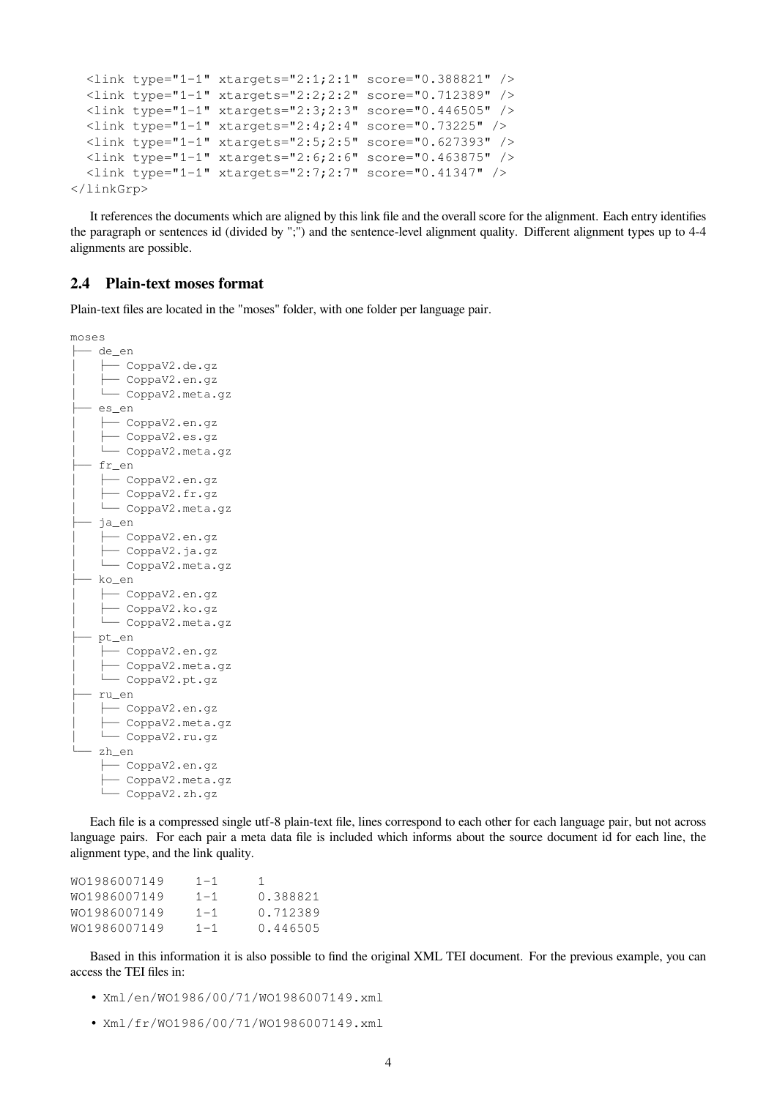```
<link type="1-1" xtargets="2:1;2:1" score="0.388821" />
 <link type="1-1" xtargets="2:2;2:2" score="0.712389" />
 <link type="1-1" xtargets="2:3;2:3" score="0.446505" />
 <link type="1-1" xtargets="2:4;2:4" score="0.73225" />
 <link type="1-1" xtargets="2:5;2:5" score="0.627393" />
 <link type="1-1" xtargets="2:6;2:6" score="0.463875" />
 <link type="1-1" xtargets="2:7;2:7" score="0.41347" />
</linkGrp>
```
It references the documents which are aligned by this link file and the overall score for the alignment. Each entry identifies the paragraph or sentences id (divided by ";") and the sentence-level alignment quality. Different alignment types up to 4-4 alignments are possible.

#### **2.4 Plain-text moses format**

Plain-text files are located in the "moses" folder, with one folder per language pair.

```
moses
  ├── de_en
    │   ├── CoppaV2.de.gz
    │   ├── CoppaV2.en.gz
    │   └── CoppaV2.meta.gz
   ├── es_en
│   ├── CoppaV2.en.gz
│   ├── CoppaV2.es.gz
    │   └── CoppaV2.meta.gz
  ├── fr_en
    │   ├── CoppaV2.en.gz
    │   ├── CoppaV2.fr.gz
    │   └── CoppaV2.meta.gz
  ├── ja_en
     │   ├── CoppaV2.en.gz
     │   ├── CoppaV2.ja.gz
     │   └── CoppaV2.meta.gz
  ├── ko_en
    │   ├── CoppaV2.en.gz
     │   ├── CoppaV2.ko.gz
     │   └── CoppaV2.meta.gz
  ├── pt_en
     │   ├── CoppaV2.en.gz
     │   ├── CoppaV2.meta.gz
     │   └── CoppaV2.pt.gz
  ├── ru_en
     │   ├── CoppaV2.en.gz
       │   ├── CoppaV2.meta.gz
    │   └── CoppaV2.ru.gz
  └── zh_en
     ├── CoppaV2.en.gz
     ├── CoppaV2.meta.gz
     └── CoppaV2.zh.gz
```
Each file is a compressed single utf-8 plain-text file, lines correspond to each other for each language pair, but not across language pairs. For each pair a meta data file is included which informs about the source document id for each line, the alignment type, and the link quality.

| WO1986007149 | $1 - 1$ |          |
|--------------|---------|----------|
| WO1986007149 | $1 - 1$ | 0.388821 |
| WO1986007149 | $1 - 1$ | 0.712389 |
| WO1986007149 | $1 - 1$ | 0.446505 |

Based in this information it is also possible to find the original XML TEI document. For the previous example, you can access the TEI files in:

- Xml/en/WO1986/00/71/WO1986007149.xml
- Xml/fr/WO1986/00/71/WO1986007149.xml